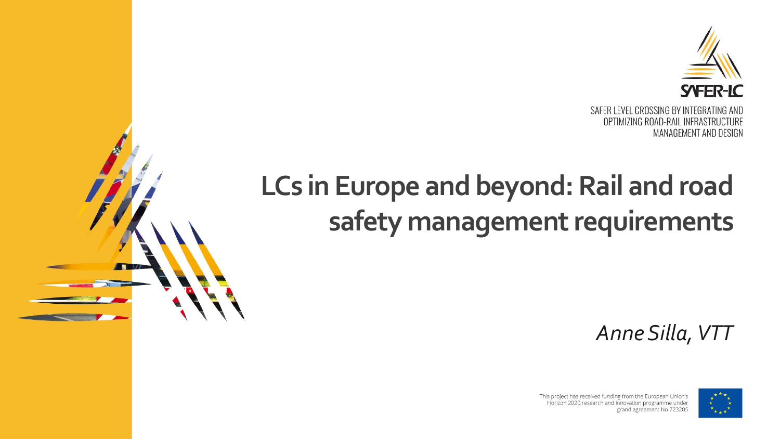

## **LCs in Europe and beyond: Rail and road safety management requirements**

*Anne Silla, VTT*



This project has received funding from the European Union's Horizon 2020 research and innovation programme under grand agreement No 723205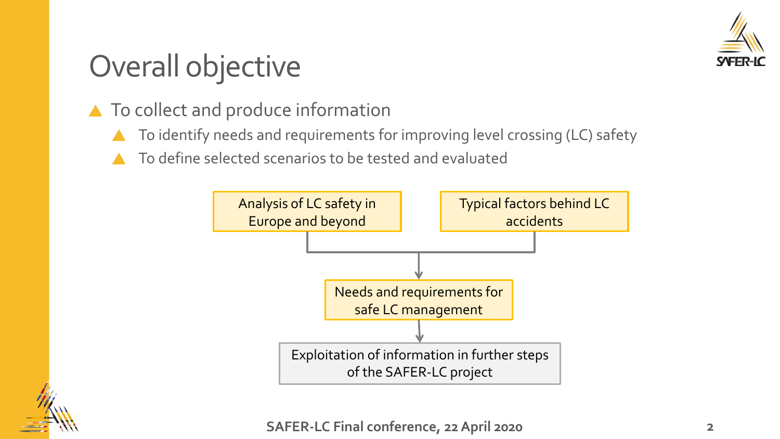

# Overall objective

- ▲ To collect and produce information
	- To identify needs and requirements for improving level crossing (LC) safety
	- To define selected scenarios to be tested and evaluated



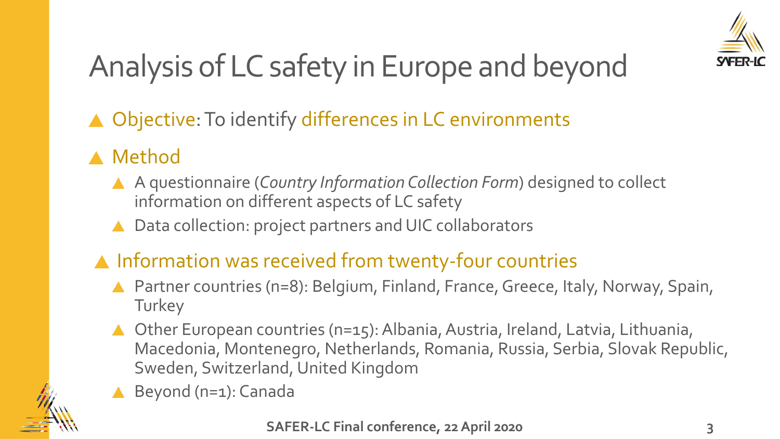

# Analysis of LC safety in Europe and beyond

▲ Objective: To identify differences in LC environments

#### ▲ Method

- A questionnaire (*Country Information Collection Form*) designed to collect information on different aspects of LC safety
- Data collection: project partners and UIC collaborators

#### A Information was received from twenty-four countries

- ▲ Partner countries (n=8): Belgium, Finland, France, Greece, Italy, Norway, Spain, **Turkey**
- ▲ Other European countries (n=15): Albania, Austria, Ireland, Latvia, Lithuania, Macedonia, Montenegro, Netherlands, Romania, Russia, Serbia, Slovak Republic, Sweden, Switzerland, United Kingdom
- Beyond (n=1): Canada

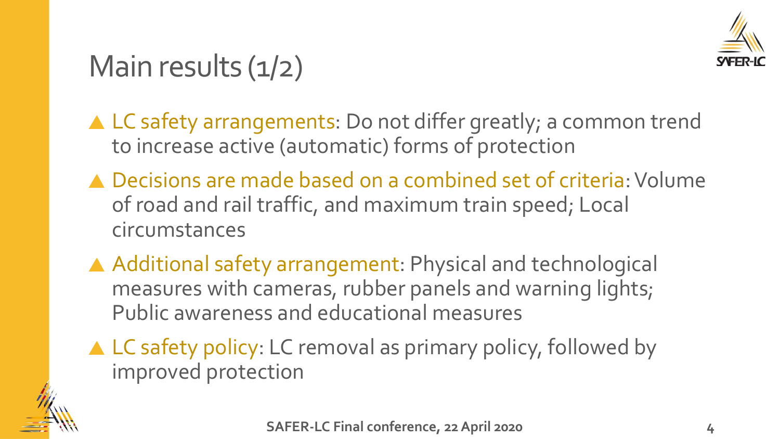

## Main results  $(1/2)$

- ▲ LC safety arrangements: Do not differ greatly; a common trend to increase active (automatic) forms of protection
- ▲ Decisions are made based on a combined set of criteria: Volume of road and rail traffic, and maximum train speed; Local circumstances
- A Additional safety arrangement: Physical and technological measures with cameras, rubber panels and warning lights; Public awareness and educational measures
- ▲ LC safety policy: LC removal as primary policy, followed by improved protection

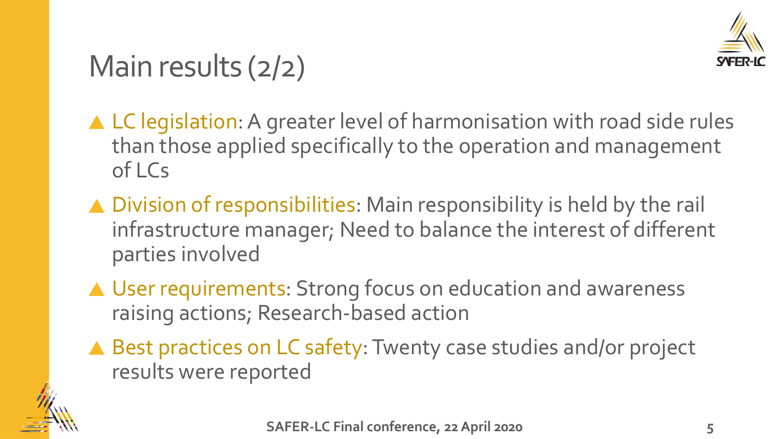

# Main results (2/2)

- ▲ LC legislation: A greater level of harmonisation with road side rules than those applied specifically to the operation and management of LCs
- ▲ Division of responsibilities: Main responsibility is held by the rail infrastructure manager; Need to balance the interest of different parties involved
- ▲ User requirements: Strong focus on education and awareness raising actions; Research-based action
- ▲ Best practices on LC safety: Twenty case studies and/or project results were reported

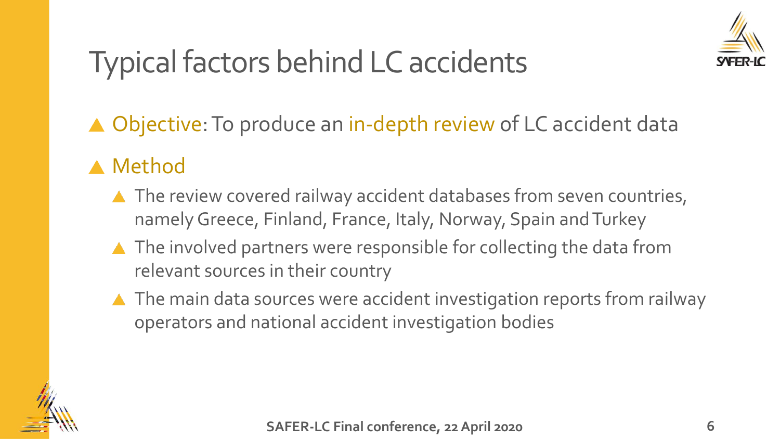

# Typical factors behind LC accidents

▲ Objective: To produce an in-depth review of LC accident data

#### **A** Method

- ▲ The review covered railway accident databases from seven countries, namely Greece, Finland, France, Italy, Norway, Spain and Turkey
- ▲ The involved partners were responsible for collecting the data from relevant sources in their country
- ▲ The main data sources were accident investigation reports from railway operators and national accident investigation bodies

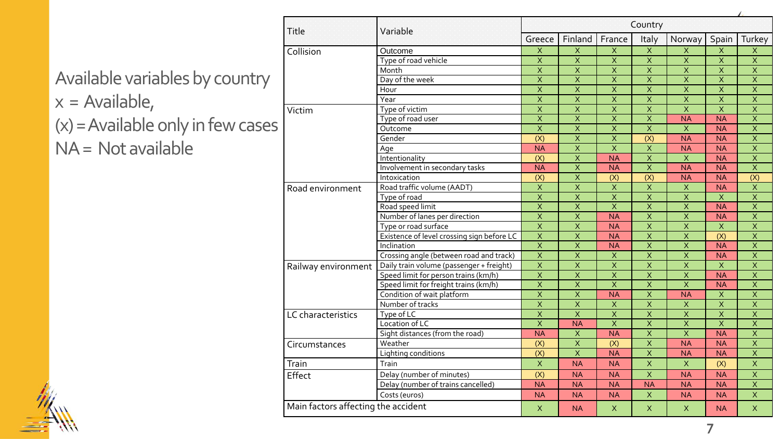|                   | Title                               | Variable                                   | Country                 |                          |                           |                         |                          |                          |                         |
|-------------------|-------------------------------------|--------------------------------------------|-------------------------|--------------------------|---------------------------|-------------------------|--------------------------|--------------------------|-------------------------|
|                   |                                     |                                            | Greece                  | Finland                  | France                    | Italy                   | Norway                   | Spain                    | Turkey                  |
|                   | Collision                           | Outcome                                    | $\mathsf X$             | $\overline{X}$           | X                         | $\overline{X}$          | $\overline{\mathsf{x}}$  | X                        | X                       |
|                   |                                     | Type of road vehicle                       | $\overline{\mathsf{x}}$ | $\overline{X}$           | $\overline{X}$            | $\overline{X}$          | $\overline{\mathsf{x}}$  | $\overline{\mathsf{x}}$  | $\overline{\mathsf{x}}$ |
| ountry<br>w cases |                                     | Month                                      | $\overline{\mathsf{x}}$ | $\overline{\mathsf{x}}$  | $\overline{\mathsf{x}}$   | $\overline{\mathsf{x}}$ | $\overline{\mathsf{x}}$  | $\overline{X}$           | $\overline{\mathsf{x}}$ |
|                   |                                     | Day of the week                            | $\overline{\mathsf{x}}$ | $\overline{\mathsf{X}}$  | $\overline{\mathsf{x}}$   | $\overline{X}$          | $\overline{\mathsf{x}}$  | $\overline{\mathsf{x}}$  | $\overline{\mathsf{x}}$ |
|                   |                                     | Hour                                       | $\overline{X}$          | $\overline{\mathsf{x}}$  | $\boldsymbol{\mathsf{X}}$ | $\overline{X}$          | $\mathsf X$              | $\overline{\mathsf{x}}$  | $\overline{X}$          |
|                   |                                     | Year                                       | $\overline{\mathsf{x}}$ | $\overline{\mathsf{x}}$  | $\overline{\mathsf{x}}$   | $\overline{\mathsf{x}}$ | $\overline{\mathsf{x}}$  | $\overline{\mathsf{x}}$  | $\overline{\mathsf{x}}$ |
|                   | Victim                              | Type of victim                             | $\overline{\mathsf{x}}$ | $\overline{X}$           | $\overline{X}$            | $\overline{\mathsf{x}}$ | $\overline{\mathsf{x}}$  | $\overline{\mathsf{x}}$  | $\overline{\mathsf{x}}$ |
|                   |                                     | Type of road user                          | $\overline{X}$          | $\overline{X}$           | $\mathsf X$               | $\overline{X}$          | <b>NA</b>                | $\overline{\mathsf{NA}}$ | $\overline{X}$          |
|                   |                                     | Outcome                                    | $\overline{\mathsf{x}}$ | $\overline{X}$           | $\overline{\mathsf{x}}$   | $\overline{\mathsf{x}}$ | $\overline{\mathsf{x}}$  | <b>NA</b>                | $\overline{\mathsf{x}}$ |
|                   |                                     | Gender                                     | $\overline{(X)}$        | $\overline{\mathsf{x}}$  | $\overline{X}$            | $\overline{(X)}$        | <b>NA</b>                | <b>NA</b>                | $\overline{X}$          |
|                   |                                     | Age                                        | <b>NA</b>               | $\overline{X}$           | $\overline{X}$            | $\overline{\mathsf{x}}$ | <b>NA</b>                | <b>NA</b>                | $\overline{X}$          |
|                   |                                     | Intentionality                             | $\overline{(X)}$        | $\overline{\mathsf{x}}$  | $\overline{\mathsf{NA}}$  | $\overline{\mathsf{x}}$ | $\overline{\mathsf{x}}$  | <b>NA</b>                | $\overline{X}$          |
|                   |                                     | Involvement in secondary tasks             | <b>NA</b>               | $\overline{\mathsf{X}}$  | <b>NA</b>                 | $\overline{X}$          | $\overline{\mathsf{NA}}$ | <b>NA</b>                | $\overline{\mathsf{x}}$ |
|                   |                                     | Intoxication                               | (X)                     | $\overline{X}$           | (X)                       | (X)                     | <b>NA</b>                | <b>NA</b>                | (X)                     |
|                   | Road environment                    | Road traffic volume (AADT)                 | $\overline{X}$          | $\overline{X}$           | $\overline{\mathsf{x}}$   | $\overline{\mathsf{x}}$ | $\overline{\mathsf{x}}$  | <b>NA</b>                | $\overline{X}$          |
|                   |                                     | Type of road                               | $\overline{\mathsf{x}}$ | $\overline{\mathsf{x}}$  | $\overline{\mathsf{x}}$   | $\overline{\mathsf{x}}$ | $\overline{\mathsf{x}}$  | $\overline{\mathsf{x}}$  | $\overline{\mathsf{x}}$ |
|                   |                                     | Road speed limit                           | $\overline{\mathsf{x}}$ | $\overline{X}$           | $\overline{\mathsf{x}}$   | $\overline{X}$          | $\overline{\mathsf{x}}$  | <b>NA</b>                | $\overline{\mathsf{x}}$ |
|                   |                                     | Number of lanes per direction              | $\overline{X}$          | $\overline{\mathsf{x}}$  | <b>NA</b>                 | $\overline{\mathsf{x}}$ | $\overline{X}$           | <b>NA</b>                | $\overline{X}$          |
|                   |                                     | Type or road surface                       | $\overline{X}$          | $\overline{X}$           | <b>NA</b>                 | $\overline{X}$          | $\overline{\mathsf{x}}$  | $\overline{\mathsf{x}}$  | $\overline{X}$          |
|                   |                                     | Existence of level crossing sign before LC | $\overline{\mathsf{X}}$ | $\overline{\mathsf{X}}$  | <b>NA</b>                 | $\overline{X}$          | $\overline{\mathsf{x}}$  | $\overline{(X)}$         | $\overline{X}$          |
|                   |                                     | Inclination                                | $\overline{\mathsf{x}}$ | $\overline{\mathsf{x}}$  | <b>NA</b>                 | $\overline{X}$          | $\overline{\mathsf{x}}$  | <b>NA</b>                | $\overline{\mathsf{x}}$ |
|                   |                                     | Crossing angle (between road and track)    | $\overline{X}$          | $\overline{\mathsf{x}}$  | $\overline{X}$            | $\overline{X}$          | $\overline{\mathsf{x}}$  | $\overline{\mathsf{NA}}$ | $\overline{X}$          |
|                   | Railway environment                 | Daily train volume (passenger + freight)   | $\overline{\mathsf{x}}$ | $\overline{\mathsf{X}}$  | $\mathsf X$               | $\overline{\mathsf{x}}$ | $\mathsf X$              | X                        | $\overline{X}$          |
|                   |                                     | Speed limit for person trains (km/h)       | $\overline{X}$          | $\overline{\mathsf{x}}$  | $\overline{X}$            | $\overline{X}$          | $\overline{X}$           | <b>NA</b>                | $\overline{X}$          |
|                   |                                     | Speed limit for freight trains (km/h)      | $\overline{\mathsf{X}}$ | $\overline{\mathsf{X}}$  | $\overline{X}$            | $\overline{X}$          | $\overline{\mathsf{x}}$  | <b>NA</b>                | $\overline{X}$          |
|                   |                                     | Condition of wait platform                 | $\overline{\mathsf{x}}$ | $\overline{X}$           | $\overline{\mathsf{NA}}$  | $\overline{\mathsf{x}}$ | $\overline{\mathsf{NA}}$ | $\overline{\mathsf{x}}$  | $\overline{X}$          |
|                   |                                     | Number of tracks                           | $\overline{\mathsf{x}}$ | $\overline{X}$           | $\overline{X}$            | $\overline{\mathsf{x}}$ | $\overline{X}$           | $\overline{\mathsf{x}}$  | $\overline{\mathsf{x}}$ |
|                   | LC characteristics                  | Type of LC                                 | $\overline{\mathsf{x}}$ | $\overline{\mathsf{x}}$  | $\overline{\mathsf{x}}$   | $\overline{X}$          | $\overline{X}$           | $\overline{\mathsf{x}}$  | $\overline{X}$          |
|                   |                                     | Location of LC                             | $\overline{X}$          | $\overline{\mathsf{NA}}$ | $\overline{X}$            | $\overline{X}$          | $\overline{X}$           | $\overline{\mathsf{x}}$  | $\overline{X}$          |
|                   |                                     | Sight distances (from the road)            | <b>NA</b>               | $\mathsf{X}$             | <b>NA</b>                 | $\overline{\mathsf{x}}$ | $\overline{\mathsf{x}}$  | <b>NA</b>                | $\overline{\mathsf{x}}$ |
|                   | Circumstances                       | Weather                                    | $\overline{(X)}$        | $\overline{X}$           | $\overline{(X)}$          | $\overline{\mathsf{x}}$ | $\overline{\mathsf{NA}}$ | <b>NA</b>                | $\overline{X}$          |
|                   |                                     | Lighting conditions                        | $\overline{(X)}$        | $\overline{\mathsf{X}}$  | <b>NA</b>                 | $\overline{\mathsf{x}}$ | $\overline{\mathsf{NA}}$ | <b>NA</b>                | $\overline{\mathsf{x}}$ |
|                   | Train                               | Train                                      | $\mathsf X$             | <b>NA</b>                | <b>NA</b>                 | $\mathsf X$             | $\mathsf{X}$             | (X)                      | X                       |
|                   | Effect                              | Delay (number of minutes)                  | (X)                     | <b>NA</b>                | <b>NA</b>                 | $\overline{X}$          | <b>NA</b>                | <b>NA</b>                | $\overline{X}$          |
|                   |                                     | Delay (number of trains cancelled)         | <b>NA</b>               | <b>NA</b>                | <b>NA</b>                 | <b>NA</b>               | <b>NA</b>                | <b>NA</b>                | $\mathsf X$             |
|                   |                                     | Costs (euros)                              | <b>NA</b>               | <b>NA</b>                | <b>NA</b>                 | $\mathsf X$             | <b>NA</b>                | <b>NA</b>                | $\mathsf X$             |
|                   | Main factors affecting the accident |                                            | $\mathsf{X}$            | <b>NA</b>                | X                         | X                       | X                        | <b>NA</b>                | $\mathsf{X}$            |

**7**

Available variables by co  $x =$  Available,  $(x)$  = Available only in few

 $NA = Not available$ 

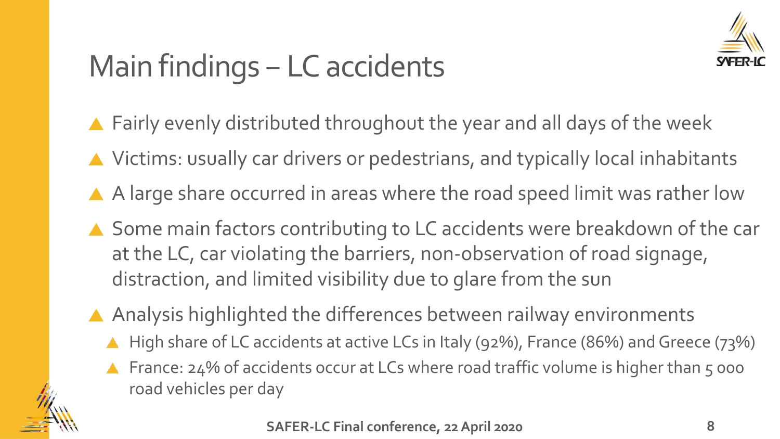

# Main findings – LC accidents

- ▲ Fairly evenly distributed throughout the year and all days of the week
- ▲ Victims: usually car drivers or pedestrians, and typically local inhabitants
- A large share occurred in areas where the road speed limit was rather low
- ▲ Some main factors contributing to LC accidents were breakdown of the car at the LC, car violating the barriers, non-observation of road signage, distraction, and limited visibility due to glare from the sun
- Analysis highlighted the differences between railway environments
	- High share of LC accidents at active LCs in Italy (92%), France (86%) and Greece (73%)
	- France: 24% of accidents occur at LCs where road traffic volume is higher than 5 000 road vehicles per day

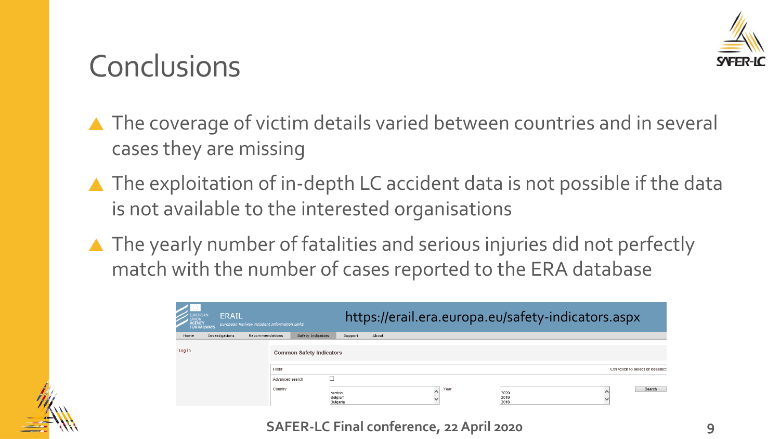

## **Conclusions**

- ▲ The coverage of victim details varied between countries and in several cases they are missing
- ▲ The exploitation of in-depth LC accident data is not possible if the data is not available to the interested organisations
- ▲ The yearly number of fatalities and serious injuries did not perfectly match with the number of cases reported to the ERA database

| EUROPEAN<br>  UNION<br>  AGENCY<br>  FOR RAILWAYS | <b>ERAIL</b>   |                 | European Railway Accident Information Links |                                |       |      |                      | https://erail.era.europa.eu/safety-indicators.aspx |                                  |
|---------------------------------------------------|----------------|-----------------|---------------------------------------------|--------------------------------|-------|------|----------------------|----------------------------------------------------|----------------------------------|
| Home                                              | Investigations | Recommendations | Safety Indicators                           | Support                        | About |      |                      |                                                    |                                  |
| Log in                                            |                |                 | <b>Common Safety Indicators</b><br>Filter   |                                |       |      |                      |                                                    | Ctrl+click to select or deselect |
|                                                   |                |                 |                                             |                                |       |      |                      |                                                    |                                  |
|                                                   |                |                 | Advanced search                             |                                |       |      |                      |                                                    |                                  |
|                                                   |                |                 | Country                                     | Austria<br>Belgium<br>Bulgaria |       | Year | 2020<br>2019<br>2018 |                                                    | Search                           |

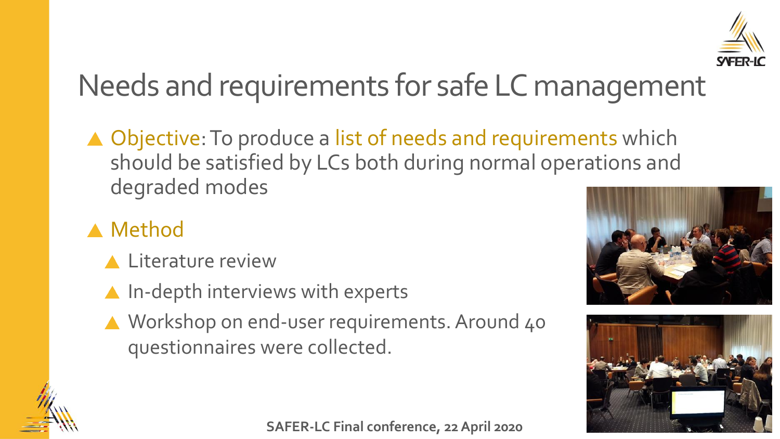

# Needs and requirements for safe LC management

▲ Objective: To produce a list of needs and requirements which should be satisfied by LCs both during normal operations and degraded modes

#### ▲ Method

- **A** Literature review
- $\triangle$  In-depth interviews with experts
- ▲ Workshop on end-user requirements. Around 40 questionnaires were collected.







**SAFER-LC Final conference, 22 April 2020**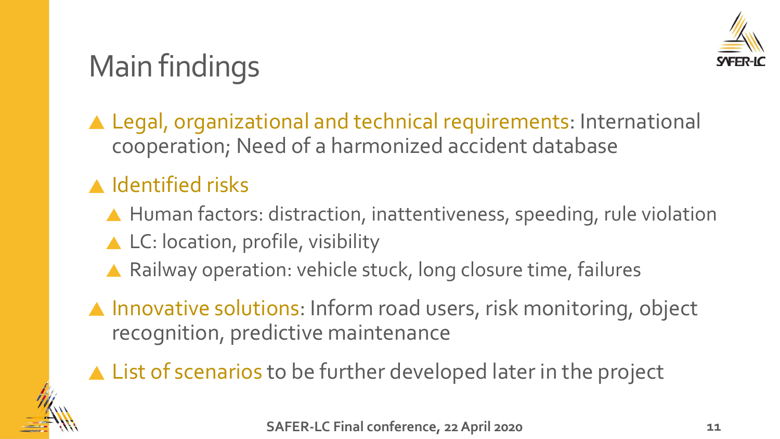

# Main findings

▲ Legal, organizational and technical requirements: International cooperation; Need of a harmonized accident database

#### **A** Identified risks

- ▲ Human factors: distraction, inattentiveness, speeding, rule violation
- ▲ LC: location, profile, visibility
- ▲ Railway operation: vehicle stuck, long closure time, failures
- ▲ Innovative solutions: Inform road users, risk monitoring, object recognition, predictive maintenance
- ▲ List of scenarios to be further developed later in the project

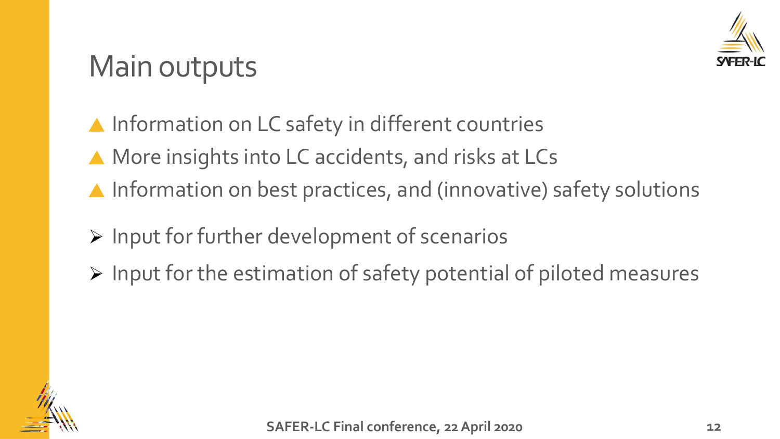

## Main outputs

▲ Information on LC safety in different countries

- ▲ More insights into LC accidents, and risks at LCs
- ▲ Information on best practices, and (innovative) safety solutions
- ➢ Input for further development of scenarios
- ➢ Input for the estimation of safety potential of piloted measures

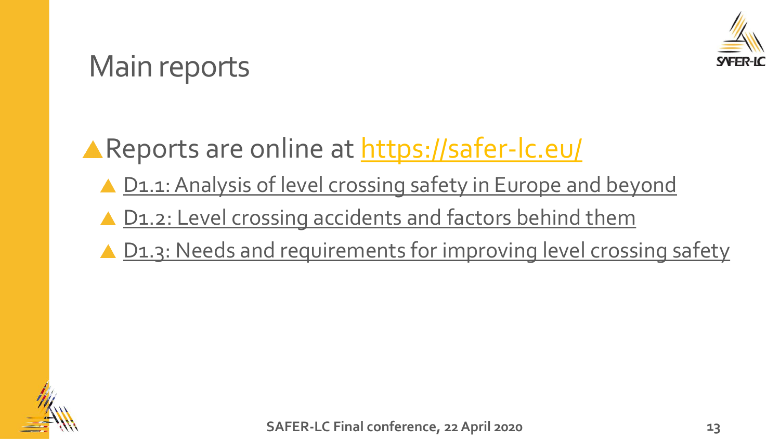

### Main reports

**A Reports are online at <https://safer-lc.eu/>** 

- ▲ [D1.1: Analysis of level crossing safety in Europe and beyond](https://safer-lc.eu/IMG/pdf/saferlc_20171130_d11_v04_ffe_analysis_lc_safety_europe_and_beyond.pdf)
- ▲ [D1.2: Level crossing accidents and factors behind them](https://safer-lc.eu/IMG/pdf/saferlc_20171003_d12_v04_vtt_lc_accidents_and_factors_behind_them.pdf)
- ▲ [D1.3: Needs and requirements for improving level crossing safety](https://safer-lc.eu/IMG/pdf/saferlc_20180130_d13_v08_uic_needs_and_requirements.pdf)